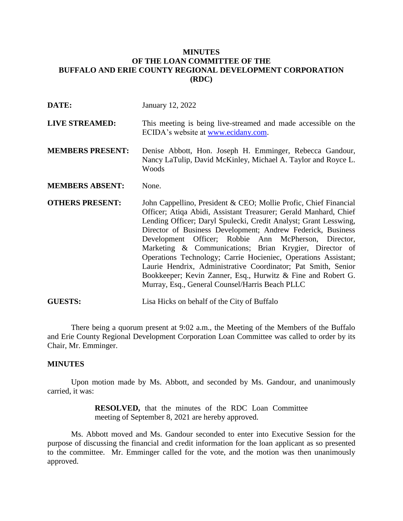# **MINUTES OF THE LOAN COMMITTEE OF THE BUFFALO AND ERIE COUNTY REGIONAL DEVELOPMENT CORPORATION (RDC)**

| DATE:                   | January 12, 2022                                                                                                                                                                                                                                                                                                                                                                                                                                                                                                                                                                                                                                |
|-------------------------|-------------------------------------------------------------------------------------------------------------------------------------------------------------------------------------------------------------------------------------------------------------------------------------------------------------------------------------------------------------------------------------------------------------------------------------------------------------------------------------------------------------------------------------------------------------------------------------------------------------------------------------------------|
| <b>LIVE STREAMED:</b>   | This meeting is being live-streamed and made accessible on the<br>ECIDA's website at www.ecidany.com.                                                                                                                                                                                                                                                                                                                                                                                                                                                                                                                                           |
| <b>MEMBERS PRESENT:</b> | Denise Abbott, Hon. Joseph H. Emminger, Rebecca Gandour,<br>Nancy LaTulip, David McKinley, Michael A. Taylor and Royce L.<br>Woods                                                                                                                                                                                                                                                                                                                                                                                                                                                                                                              |
| <b>MEMBERS ABSENT:</b>  | None.                                                                                                                                                                                                                                                                                                                                                                                                                                                                                                                                                                                                                                           |
| <b>OTHERS PRESENT:</b>  | John Cappellino, President & CEO; Mollie Profic, Chief Financial<br>Officer; Atiqa Abidi, Assistant Treasurer; Gerald Manhard, Chief<br>Lending Officer; Daryl Spulecki, Credit Analyst; Grant Lesswing,<br>Director of Business Development; Andrew Federick, Business<br>Development Officer; Robbie Ann McPherson, Director,<br>Marketing & Communications; Brian Krygier, Director of<br>Operations Technology; Carrie Hocieniec, Operations Assistant;<br>Laurie Hendrix, Administrative Coordinator; Pat Smith, Senior<br>Bookkeeper; Kevin Zanner, Esq., Hurwitz & Fine and Robert G.<br>Murray, Esq., General Counsel/Harris Beach PLLC |
| <b>GUESTS:</b>          | Lisa Hicks on behalf of the City of Buffalo                                                                                                                                                                                                                                                                                                                                                                                                                                                                                                                                                                                                     |

There being a quorum present at 9:02 a.m., the Meeting of the Members of the Buffalo and Erie County Regional Development Corporation Loan Committee was called to order by its Chair, Mr. Emminger.

## **MINUTES**

Upon motion made by Ms. Abbott, and seconded by Ms. Gandour, and unanimously carried, it was:

> **RESOLVED,** that the minutes of the RDC Loan Committee meeting of September 8, 2021 are hereby approved.

Ms. Abbott moved and Ms. Gandour seconded to enter into Executive Session for the purpose of discussing the financial and credit information for the loan applicant as so presented to the committee. Mr. Emminger called for the vote, and the motion was then unanimously approved.